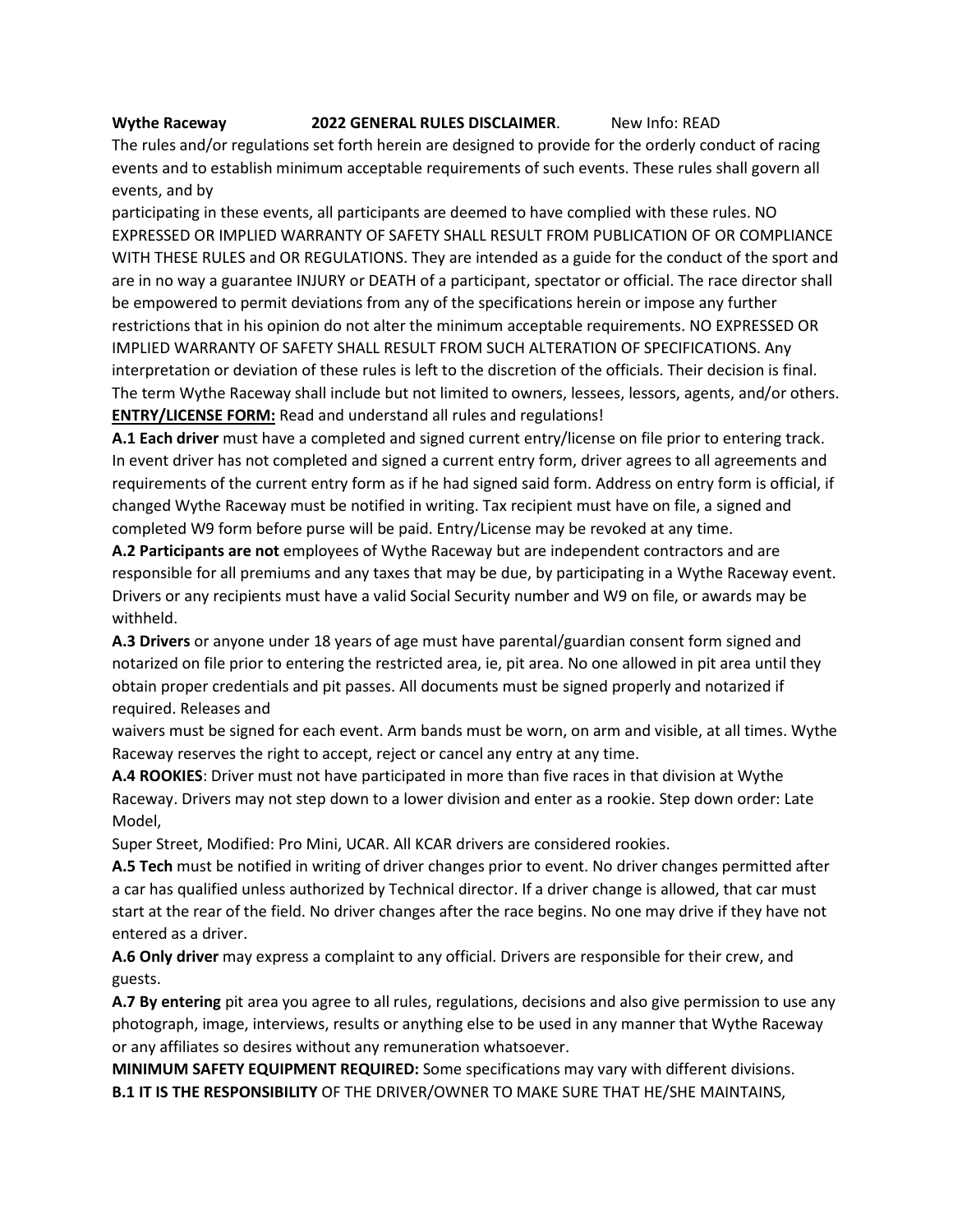## **Wythe Raceway 2022 GENERAL RULES DISCLAIMER**. New Info: READ

The rules and/or regulations set forth herein are designed to provide for the orderly conduct of racing events and to establish minimum acceptable requirements of such events. These rules shall govern all events, and by

participating in these events, all participants are deemed to have complied with these rules. NO EXPRESSED OR IMPLIED WARRANTY OF SAFETY SHALL RESULT FROM PUBLICATION OF OR COMPLIANCE WITH THESE RULES and OR REGULATIONS. They are intended as a guide for the conduct of the sport and are in no way a guarantee INJURY or DEATH of a participant, spectator or official. The race director shall be empowered to permit deviations from any of the specifications herein or impose any further restrictions that in his opinion do not alter the minimum acceptable requirements. NO EXPRESSED OR IMPLIED WARRANTY OF SAFETY SHALL RESULT FROM SUCH ALTERATION OF SPECIFICATIONS. Any interpretation or deviation of these rules is left to the discretion of the officials. Their decision is final. The term Wythe Raceway shall include but not limited to owners, lessees, lessors, agents, and/or others. **ENTRY/LICENSE FORM:** Read and understand all rules and regulations!

**A.1 Each driver** must have a completed and signed current entry/license on file prior to entering track. In event driver has not completed and signed a current entry form, driver agrees to all agreements and requirements of the current entry form as if he had signed said form. Address on entry form is official, if changed Wythe Raceway must be notified in writing. Tax recipient must have on file, a signed and completed W9 form before purse will be paid. Entry/License may be revoked at any time.

**A.2 Participants are not** employees of Wythe Raceway but are independent contractors and are responsible for all premiums and any taxes that may be due, by participating in a Wythe Raceway event. Drivers or any recipients must have a valid Social Security number and W9 on file, or awards may be withheld.

**A.3 Drivers** or anyone under 18 years of age must have parental/guardian consent form signed and notarized on file prior to entering the restricted area, ie, pit area. No one allowed in pit area until they obtain proper credentials and pit passes. All documents must be signed properly and notarized if required. Releases and

waivers must be signed for each event. Arm bands must be worn, on arm and visible, at all times. Wythe Raceway reserves the right to accept, reject or cancel any entry at any time.

**A.4 ROOKIES**: Driver must not have participated in more than five races in that division at Wythe Raceway. Drivers may not step down to a lower division and enter as a rookie. Step down order: Late Model,

Super Street, Modified: Pro Mini, UCAR. All KCAR drivers are considered rookies.

**A.5 Tech** must be notified in writing of driver changes prior to event. No driver changes permitted after a car has qualified unless authorized by Technical director. If a driver change is allowed, that car must start at the rear of the field. No driver changes after the race begins. No one may drive if they have not entered as a driver.

**A.6 Only driver** may express a complaint to any official. Drivers are responsible for their crew, and guests.

**A.7 By entering** pit area you agree to all rules, regulations, decisions and also give permission to use any photograph, image, interviews, results or anything else to be used in any manner that Wythe Raceway or any affiliates so desires without any remuneration whatsoever.

**MINIMUM SAFETY EQUIPMENT REQUIRED:** Some specifications may vary with different divisions. **B.1 IT IS THE RESPONSIBILITY** OF THE DRIVER/OWNER TO MAKE SURE THAT HE/SHE MAINTAINS,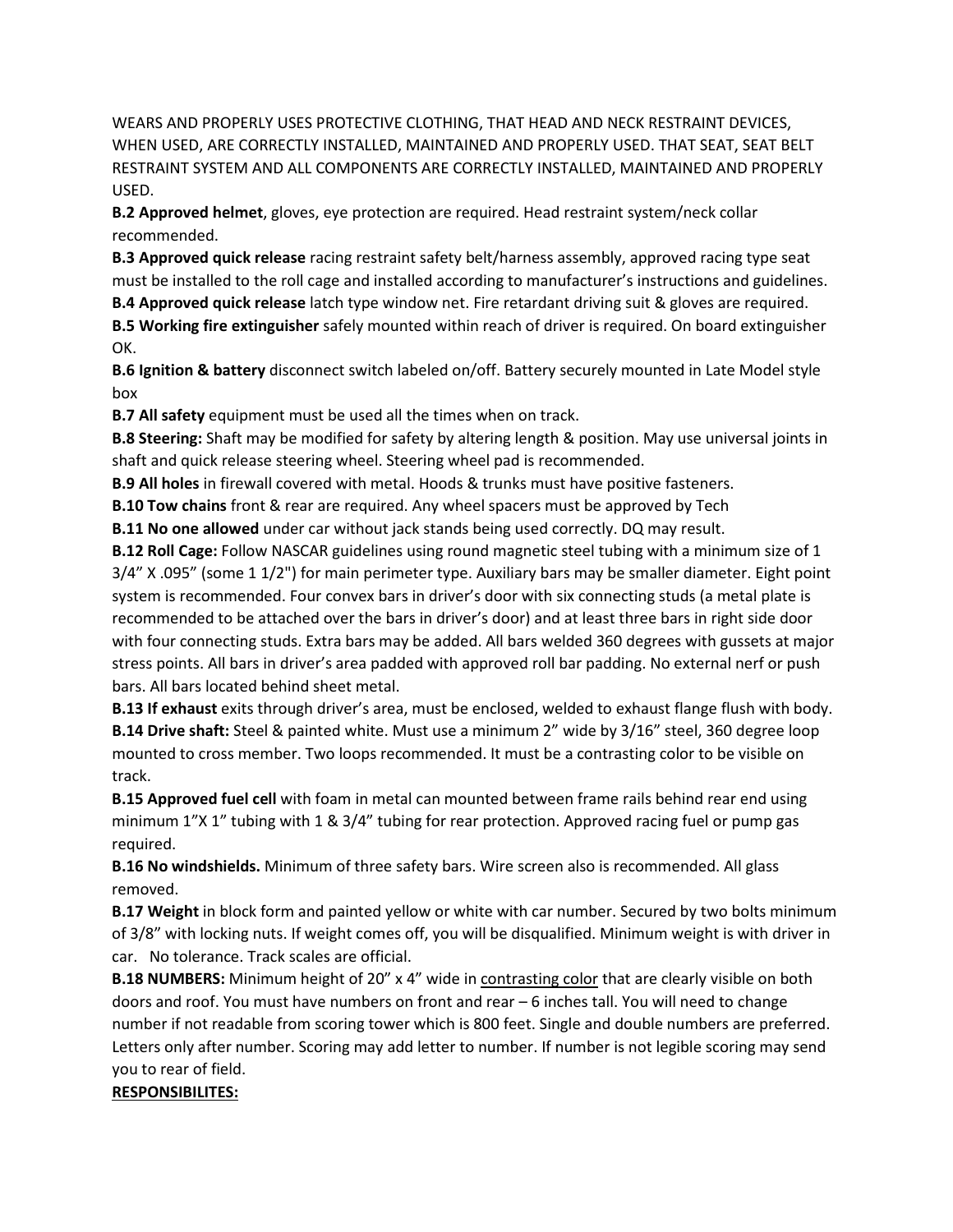WEARS AND PROPERLY USES PROTECTIVE CLOTHING, THAT HEAD AND NECK RESTRAINT DEVICES, WHEN USED, ARE CORRECTLY INSTALLED, MAINTAINED AND PROPERLY USED. THAT SEAT, SEAT BELT RESTRAINT SYSTEM AND ALL COMPONENTS ARE CORRECTLY INSTALLED, MAINTAINED AND PROPERLY USED.

**B.2 Approved helmet**, gloves, eye protection are required. Head restraint system/neck collar recommended.

**B.3 Approved quick release** racing restraint safety belt/harness assembly, approved racing type seat must be installed to the roll cage and installed according to manufacturer's instructions and guidelines. **B.4 Approved quick release** latch type window net. Fire retardant driving suit & gloves are required.

**B.5 Working fire extinguisher** safely mounted within reach of driver is required. On board extinguisher OK.

**B.6 Ignition & battery** disconnect switch labeled on/off. Battery securely mounted in Late Model style box

**B.7 All safety** equipment must be used all the times when on track.

**B.8 Steering:** Shaft may be modified for safety by altering length & position. May use universal joints in shaft and quick release steering wheel. Steering wheel pad is recommended.

**B.9 All holes** in firewall covered with metal. Hoods & trunks must have positive fasteners.

**B.10 Tow chains** front & rear are required. Any wheel spacers must be approved by Tech

**B.11 No one allowed** under car without jack stands being used correctly. DQ may result.

**B.12 Roll Cage:** Follow NASCAR guidelines using round magnetic steel tubing with a minimum size of 1 3/4" X .095" (some 1 1/2") for main perimeter type. Auxiliary bars may be smaller diameter. Eight point system is recommended. Four convex bars in driver's door with six connecting studs (a metal plate is recommended to be attached over the bars in driver's door) and at least three bars in right side door with four connecting studs. Extra bars may be added. All bars welded 360 degrees with gussets at major stress points. All bars in driver's area padded with approved roll bar padding. No external nerf or push bars. All bars located behind sheet metal.

**B.13 If exhaust** exits through driver's area, must be enclosed, welded to exhaust flange flush with body. **B.14 Drive shaft:** Steel & painted white. Must use a minimum 2" wide by 3/16" steel, 360 degree loop mounted to cross member. Two loops recommended. It must be a contrasting color to be visible on track.

**B.15 Approved fuel cell** with foam in metal can mounted between frame rails behind rear end using minimum 1"X 1" tubing with 1 & 3/4" tubing for rear protection. Approved racing fuel or pump gas required.

**B.16 No windshields.** Minimum of three safety bars. Wire screen also is recommended. All glass removed.

**B.17 Weight** in block form and painted yellow or white with car number. Secured by two bolts minimum of 3/8" with locking nuts. If weight comes off, you will be disqualified. Minimum weight is with driver in car. No tolerance. Track scales are official.

**B.18 NUMBERS:** Minimum height of 20" x 4" wide in contrasting color that are clearly visible on both doors and roof. You must have numbers on front and rear – 6 inches tall. You will need to change number if not readable from scoring tower which is 800 feet. Single and double numbers are preferred. Letters only after number. Scoring may add letter to number. If number is not legible scoring may send you to rear of field.

## **RESPONSIBILITES:**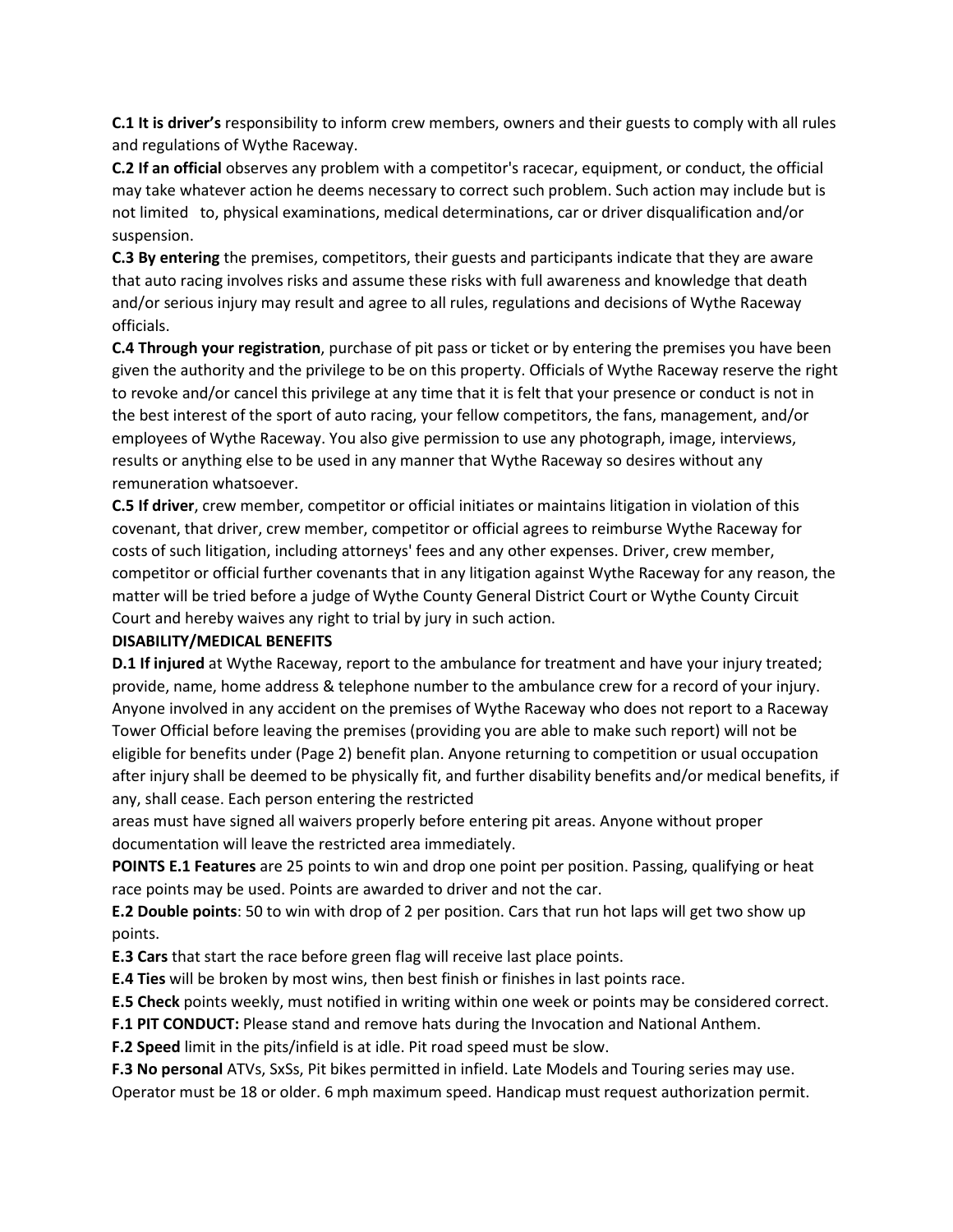**C.1 It is driver's** responsibility to inform crew members, owners and their guests to comply with all rules and regulations of Wythe Raceway.

**C.2 If an official** observes any problem with a competitor's racecar, equipment, or conduct, the official may take whatever action he deems necessary to correct such problem. Such action may include but is not limited to, physical examinations, medical determinations, car or driver disqualification and/or suspension.

**C.3 By entering** the premises, competitors, their guests and participants indicate that they are aware that auto racing involves risks and assume these risks with full awareness and knowledge that death and/or serious injury may result and agree to all rules, regulations and decisions of Wythe Raceway officials.

**C.4 Through your registration**, purchase of pit pass or ticket or by entering the premises you have been given the authority and the privilege to be on this property. Officials of Wythe Raceway reserve the right to revoke and/or cancel this privilege at any time that it is felt that your presence or conduct is not in the best interest of the sport of auto racing, your fellow competitors, the fans, management, and/or employees of Wythe Raceway. You also give permission to use any photograph, image, interviews, results or anything else to be used in any manner that Wythe Raceway so desires without any remuneration whatsoever.

**C.5 If driver**, crew member, competitor or official initiates or maintains litigation in violation of this covenant, that driver, crew member, competitor or official agrees to reimburse Wythe Raceway for costs of such litigation, including attorneys' fees and any other expenses. Driver, crew member, competitor or official further covenants that in any litigation against Wythe Raceway for any reason, the matter will be tried before a judge of Wythe County General District Court or Wythe County Circuit Court and hereby waives any right to trial by jury in such action.

## **DISABILITY/MEDICAL BENEFITS**

**D.1 If injured** at Wythe Raceway, report to the ambulance for treatment and have your injury treated; provide, name, home address & telephone number to the ambulance crew for a record of your injury. Anyone involved in any accident on the premises of Wythe Raceway who does not report to a Raceway Tower Official before leaving the premises (providing you are able to make such report) will not be eligible for benefits under (Page 2) benefit plan. Anyone returning to competition or usual occupation after injury shall be deemed to be physically fit, and further disability benefits and/or medical benefits, if any, shall cease. Each person entering the restricted

areas must have signed all waivers properly before entering pit areas. Anyone without proper documentation will leave the restricted area immediately.

**POINTS E.1 Features** are 25 points to win and drop one point per position. Passing, qualifying or heat race points may be used. Points are awarded to driver and not the car.

**E.2 Double points**: 50 to win with drop of 2 per position. Cars that run hot laps will get two show up points.

**E.3 Cars** that start the race before green flag will receive last place points.

**E.4 Ties** will be broken by most wins, then best finish or finishes in last points race.

**E.5 Check** points weekly, must notified in writing within one week or points may be considered correct.

**F.1 PIT CONDUCT:** Please stand and remove hats during the Invocation and National Anthem.

**F.2 Speed** limit in the pits/infield is at idle. Pit road speed must be slow.

**F.3 No personal** ATVs, SxSs, Pit bikes permitted in infield. Late Models and Touring series may use.

Operator must be 18 or older. 6 mph maximum speed. Handicap must request authorization permit.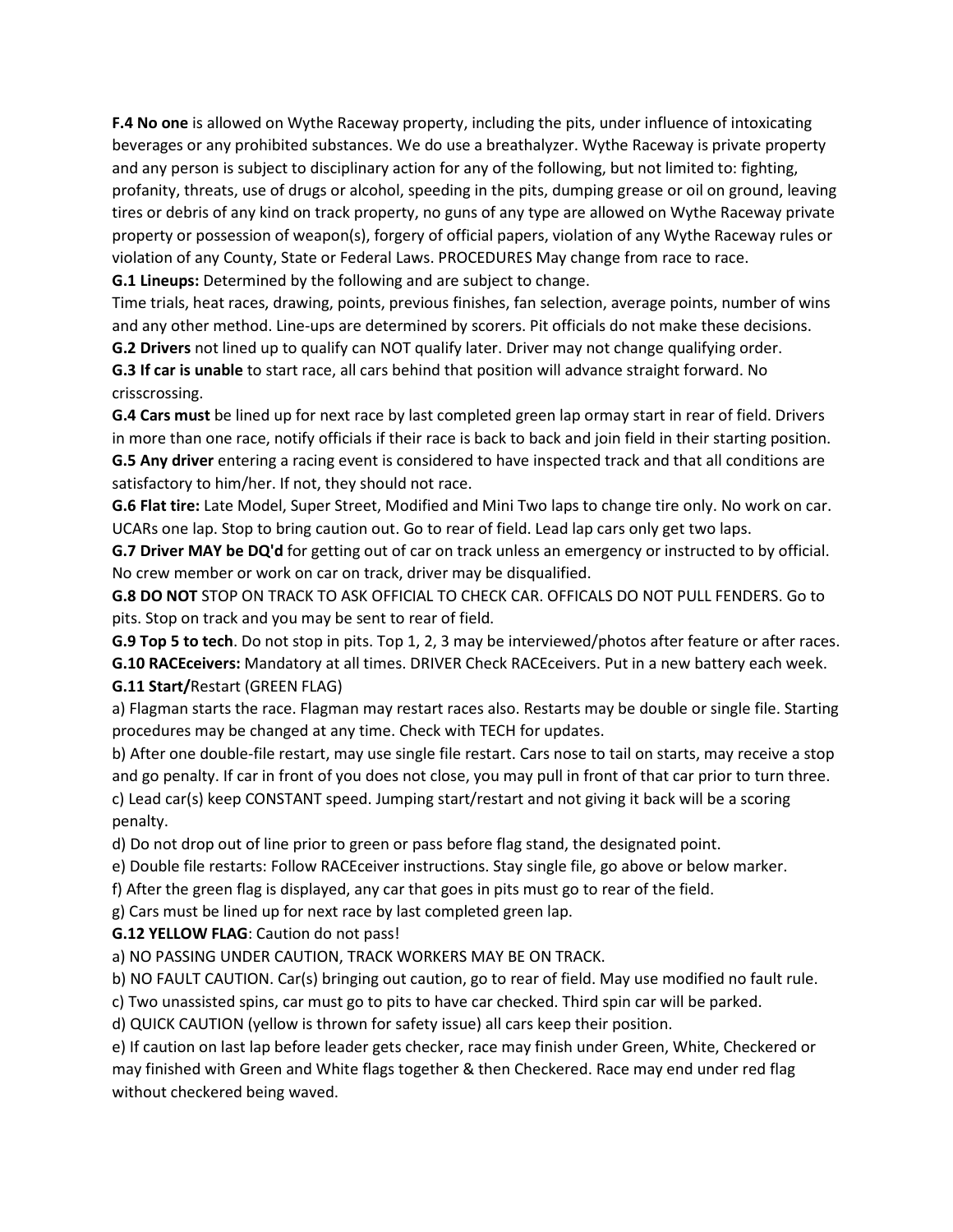**F.4 No one** is allowed on Wythe Raceway property, including the pits, under influence of intoxicating beverages or any prohibited substances. We do use a breathalyzer. Wythe Raceway is private property and any person is subject to disciplinary action for any of the following, but not limited to: fighting, profanity, threats, use of drugs or alcohol, speeding in the pits, dumping grease or oil on ground, leaving tires or debris of any kind on track property, no guns of any type are allowed on Wythe Raceway private property or possession of weapon(s), forgery of official papers, violation of any Wythe Raceway rules or violation of any County, State or Federal Laws. PROCEDURES May change from race to race. **G.1 Lineups:** Determined by the following and are subject to change.

Time trials, heat races, drawing, points, previous finishes, fan selection, average points, number of wins and any other method. Line-ups are determined by scorers. Pit officials do not make these decisions.

**G.2 Drivers** not lined up to qualify can NOT qualify later. Driver may not change qualifying order.

**G.3 If car is unable** to start race, all cars behind that position will advance straight forward. No crisscrossing.

**G.4 Cars must** be lined up for next race by last completed green lap ormay start in rear of field. Drivers in more than one race, notify officials if their race is back to back and join field in their starting position. **G.5 Any driver** entering a racing event is considered to have inspected track and that all conditions are satisfactory to him/her. If not, they should not race.

**G.6 Flat tire:** Late Model, Super Street, Modified and Mini Two laps to change tire only. No work on car. UCARs one lap. Stop to bring caution out. Go to rear of field. Lead lap cars only get two laps.

**G.7 Driver MAY be DQ'd** for getting out of car on track unless an emergency or instructed to by official. No crew member or work on car on track, driver may be disqualified.

**G.8 DO NOT** STOP ON TRACK TO ASK OFFICIAL TO CHECK CAR. OFFICALS DO NOT PULL FENDERS. Go to pits. Stop on track and you may be sent to rear of field.

**G.9 Top 5 to tech**. Do not stop in pits. Top 1, 2, 3 may be interviewed/photos after feature or after races.

**G.10 RACEceivers:** Mandatory at all times. DRIVER Check RACEceivers. Put in a new battery each week. **G.11 Start/**Restart (GREEN FLAG)

a) Flagman starts the race. Flagman may restart races also. Restarts may be double or single file. Starting procedures may be changed at any time. Check with TECH for updates.

b) After one double-file restart, may use single file restart. Cars nose to tail on starts, may receive a stop and go penalty. If car in front of you does not close, you may pull in front of that car prior to turn three. c) Lead car(s) keep CONSTANT speed. Jumping start/restart and not giving it back will be a scoring penalty.

d) Do not drop out of line prior to green or pass before flag stand, the designated point.

e) Double file restarts: Follow RACEceiver instructions. Stay single file, go above or below marker.

f) After the green flag is displayed, any car that goes in pits must go to rear of the field.

g) Cars must be lined up for next race by last completed green lap.

**G.12 YELLOW FLAG**: Caution do not pass!

a) NO PASSING UNDER CAUTION, TRACK WORKERS MAY BE ON TRACK.

b) NO FAULT CAUTION. Car(s) bringing out caution, go to rear of field. May use modified no fault rule.

c) Two unassisted spins, car must go to pits to have car checked. Third spin car will be parked.

d) QUICK CAUTION (yellow is thrown for safety issue) all cars keep their position.

e) If caution on last lap before leader gets checker, race may finish under Green, White, Checkered or may finished with Green and White flags together & then Checkered. Race may end under red flag without checkered being waved.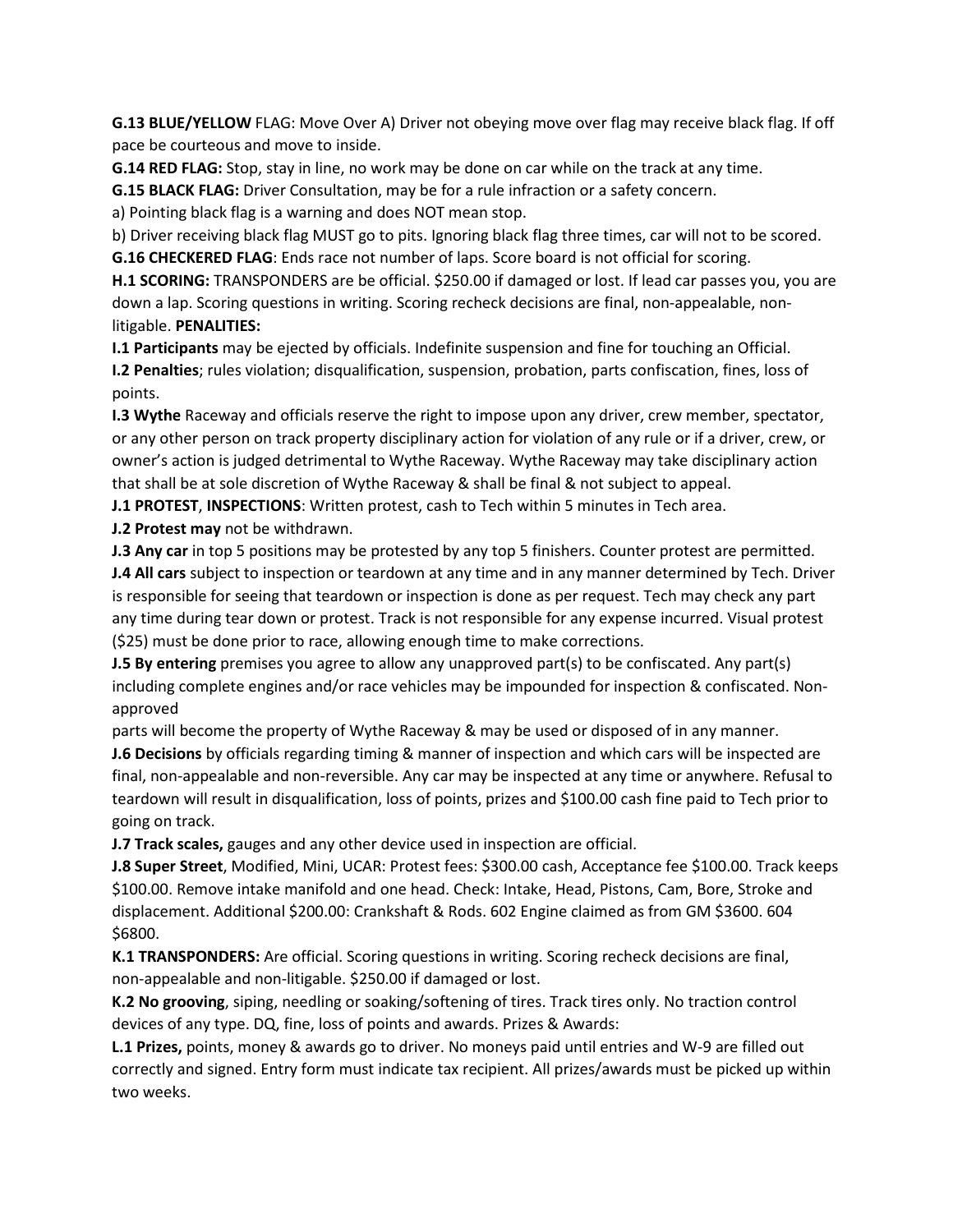**G.13 BLUE/YELLOW** FLAG: Move Over A) Driver not obeying move over flag may receive black flag. If off pace be courteous and move to inside.

**G.14 RED FLAG:** Stop, stay in line, no work may be done on car while on the track at any time.

**G.15 BLACK FLAG:** Driver Consultation, may be for a rule infraction or a safety concern.

a) Pointing black flag is a warning and does NOT mean stop.

b) Driver receiving black flag MUST go to pits. Ignoring black flag three times, car will not to be scored. **G.16 CHECKERED FLAG**: Ends race not number of laps. Score board is not official for scoring.

**H.1 SCORING:** TRANSPONDERS are be official. \$250.00 if damaged or lost. If lead car passes you, you are down a lap. Scoring questions in writing. Scoring recheck decisions are final, non-appealable, nonlitigable. **PENALITIES:**

**I.1 Participants** may be ejected by officials. Indefinite suspension and fine for touching an Official. **I.2 Penalties**; rules violation; disqualification, suspension, probation, parts confiscation, fines, loss of points.

**I.3 Wythe** Raceway and officials reserve the right to impose upon any driver, crew member, spectator, or any other person on track property disciplinary action for violation of any rule or if a driver, crew, or owner's action is judged detrimental to Wythe Raceway. Wythe Raceway may take disciplinary action that shall be at sole discretion of Wythe Raceway & shall be final & not subject to appeal.

**J.1 PROTEST**, **INSPECTIONS**: Written protest, cash to Tech within 5 minutes in Tech area.

**J.2 Protest may** not be withdrawn.

**J.3 Any car** in top 5 positions may be protested by any top 5 finishers. Counter protest are permitted. **J.4 All cars** subject to inspection or teardown at any time and in any manner determined by Tech. Driver is responsible for seeing that teardown or inspection is done as per request. Tech may check any part any time during tear down or protest. Track is not responsible for any expense incurred. Visual protest (\$25) must be done prior to race, allowing enough time to make corrections.

**J.5 By entering** premises you agree to allow any unapproved part(s) to be confiscated. Any part(s) including complete engines and/or race vehicles may be impounded for inspection & confiscated. Nonapproved

parts will become the property of Wythe Raceway & may be used or disposed of in any manner.

**J.6 Decisions** by officials regarding timing & manner of inspection and which cars will be inspected are final, non-appealable and non-reversible. Any car may be inspected at any time or anywhere. Refusal to teardown will result in disqualification, loss of points, prizes and \$100.00 cash fine paid to Tech prior to going on track.

**J.7 Track scales,** gauges and any other device used in inspection are official.

**J.8 Super Street**, Modified, Mini, UCAR: Protest fees: \$300.00 cash, Acceptance fee \$100.00. Track keeps \$100.00. Remove intake manifold and one head. Check: Intake, Head, Pistons, Cam, Bore, Stroke and displacement. Additional \$200.00: Crankshaft & Rods. 602 Engine claimed as from GM \$3600. 604 \$6800.

**K.1 TRANSPONDERS:** Are official. Scoring questions in writing. Scoring recheck decisions are final, non-appealable and non-litigable. \$250.00 if damaged or lost.

**K.2 No grooving**, siping, needling or soaking/softening of tires. Track tires only. No traction control devices of any type. DQ, fine, loss of points and awards. Prizes & Awards:

**L.1 Prizes,** points, money & awards go to driver. No moneys paid until entries and W-9 are filled out correctly and signed. Entry form must indicate tax recipient. All prizes/awards must be picked up within two weeks.